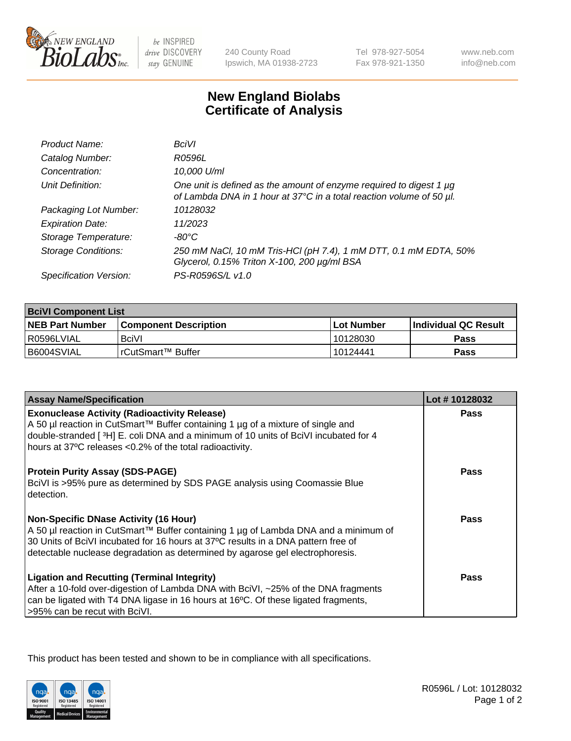

 $be$  INSPIRED drive DISCOVERY stay GENUINE

240 County Road Ipswich, MA 01938-2723 Tel 978-927-5054 Fax 978-921-1350 www.neb.com info@neb.com

## **New England Biolabs Certificate of Analysis**

| Product Name:              | BciVI                                                                                                                                       |
|----------------------------|---------------------------------------------------------------------------------------------------------------------------------------------|
| Catalog Number:            | R0596L                                                                                                                                      |
| Concentration:             | 10,000 U/ml                                                                                                                                 |
| Unit Definition:           | One unit is defined as the amount of enzyme required to digest 1 µg<br>of Lambda DNA in 1 hour at 37°C in a total reaction volume of 50 µl. |
| Packaging Lot Number:      | 10128032                                                                                                                                    |
| <b>Expiration Date:</b>    | 11/2023                                                                                                                                     |
| Storage Temperature:       | -80°C                                                                                                                                       |
| <b>Storage Conditions:</b> | 250 mM NaCl, 10 mM Tris-HCl (pH 7.4), 1 mM DTT, 0.1 mM EDTA, 50%<br>Glycerol, 0.15% Triton X-100, 200 µg/ml BSA                             |
| Specification Version:     | PS-R0596S/L v1.0                                                                                                                            |

| <b>BciVI Component List</b> |                              |              |                       |  |
|-----------------------------|------------------------------|--------------|-----------------------|--|
| <b>NEB Part Number</b>      | <b>Component Description</b> | l Lot Number | ∣Individual QC Result |  |
| R0596LVIAL                  | <b>BciVI</b>                 | 10128030     | Pass                  |  |
| B6004SVIAL                  | l rCutSmart™ Buffer          | 10124441     | Pass                  |  |

| <b>Assay Name/Specification</b>                                                                                                                                                                                                                                                                             | Lot #10128032 |
|-------------------------------------------------------------------------------------------------------------------------------------------------------------------------------------------------------------------------------------------------------------------------------------------------------------|---------------|
| <b>Exonuclease Activity (Radioactivity Release)</b><br>A 50 µl reaction in CutSmart™ Buffer containing 1 µg of a mixture of single and<br>double-stranded [3H] E. coli DNA and a minimum of 10 units of BciVI incubated for 4<br>hours at 37°C releases <0.2% of the total radioactivity.                   | <b>Pass</b>   |
| <b>Protein Purity Assay (SDS-PAGE)</b><br>BciVI is >95% pure as determined by SDS PAGE analysis using Coomassie Blue<br>l detection.                                                                                                                                                                        | <b>Pass</b>   |
| <b>Non-Specific DNase Activity (16 Hour)</b><br>  A 50 µl reaction in CutSmart™ Buffer containing 1 µg of Lambda DNA and a minimum of<br>30 Units of BciVI incubated for 16 hours at 37°C results in a DNA pattern free of<br>detectable nuclease degradation as determined by agarose gel electrophoresis. | <b>Pass</b>   |
| <b>Ligation and Recutting (Terminal Integrity)</b><br>After a 10-fold over-digestion of Lambda DNA with BciVI, ~25% of the DNA fragments<br>can be ligated with T4 DNA ligase in 16 hours at 16 $\degree$ C. Of these ligated fragments,<br>-95% can be recut with BciVI.                                   | <b>Pass</b>   |

This product has been tested and shown to be in compliance with all specifications.